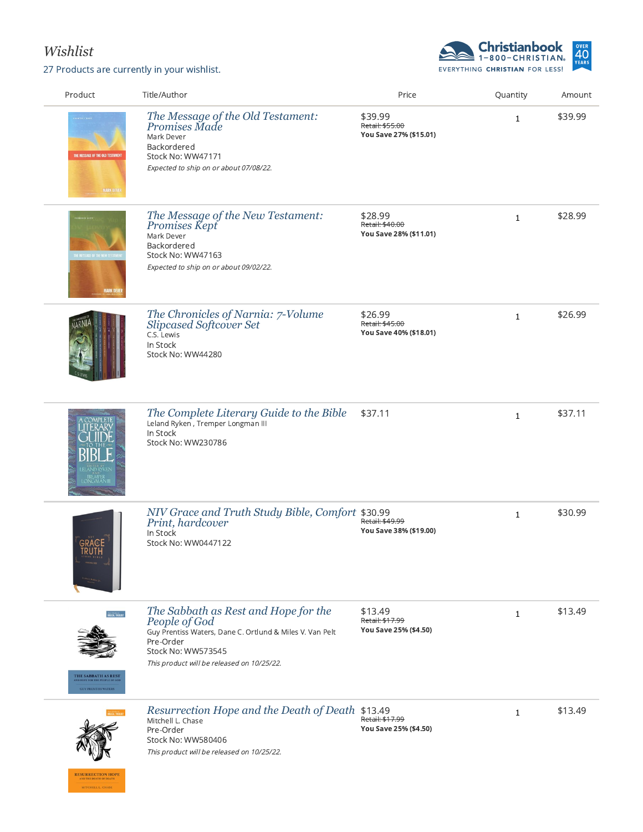## *Wishlist*

**RESURRECTION HOPE** MITCHELL L. CHASE

27 Products are currently in your wishlist.



| Product                                                                  | Title/Author                                                                                                                                                                                       | Price                                                | Quantity     | Amount  |
|--------------------------------------------------------------------------|----------------------------------------------------------------------------------------------------------------------------------------------------------------------------------------------------|------------------------------------------------------|--------------|---------|
| THE MESSAGE OF THE OLD TESTAMENT<br><b>MARK DEVER</b>                    | The Message of the Old Testament:<br>Promises Made<br>Mark Dever<br>Backordered<br>Stock No: WW47171<br>Expected to ship on or about 07/08/22.                                                     | \$39.99<br>Retail: \$55.00<br>You Save 27% (\$15.01) | $\mathbf{1}$ | \$39.99 |
| THE MESSAGE OF THE NEW TESTAME<br><b>MARK DEVER</b>                      | The Message of the New Testament:<br>Promises Kept<br>Mark Dever<br>Backordered<br>Stock No: WW47163<br>Expected to ship on or about 09/02/22.                                                     | \$28.99<br>Retail: \$40.00<br>You Save 28% (\$11.01) | $\mathbf{1}$ | \$28.99 |
|                                                                          | The Chronicles of Narnia: 7-Volume<br><b>Slipcased Softcover Set</b><br>C.S. Lewis<br>In Stock<br>Stock No: WW44280                                                                                | \$26.99<br>Retail: \$45.00<br>You Save 40% (\$18.01) | $\mathbf{1}$ | \$26.99 |
| <b>TRÉMPER<br/>ONGMANI</b>                                               | The Complete Literary Guide to the Bible<br>Leland Ryken, Tremper Longman III<br>In Stock<br>Stock No: WW230786                                                                                    | \$37.11                                              | $\mathbf{1}$ | \$37.11 |
|                                                                          | NIV Grace and Truth Study Bible, Comfort \$30.99<br>Print, hardcover<br>In Stock<br>Stock No: WW0447122                                                                                            | Retail: \$49.99<br>You Save 38% (\$19.00)            | $\mathbf{1}$ | \$30.99 |
| <b>HEIGH THERMY</b><br>THE SABBATH AS REST<br><b>GUY PRENTISS WATERS</b> | The Sabbath as Rest and Hope for the<br>People of God<br>Guy Prentiss Waters, Dane C. Ortlund & Miles V. Van Pelt<br>Pre-Order<br>Stock No: WW573545<br>This product will be released on 10/25/22. | \$13.49<br>Retail: \$17.99<br>You Save 25% (\$4.50)  | $\mathbf{1}$ | \$13.49 |
|                                                                          | Resurrection Hope and the Death of Death \$13.49<br>Mitchell L. Chase<br>Pre-Order<br>Stock No: WW580406<br>This product will be released on 10/25/22.                                             | Retail: \$17.99<br>You Save 25% (\$4.50)             | $\mathbf{1}$ | \$13.49 |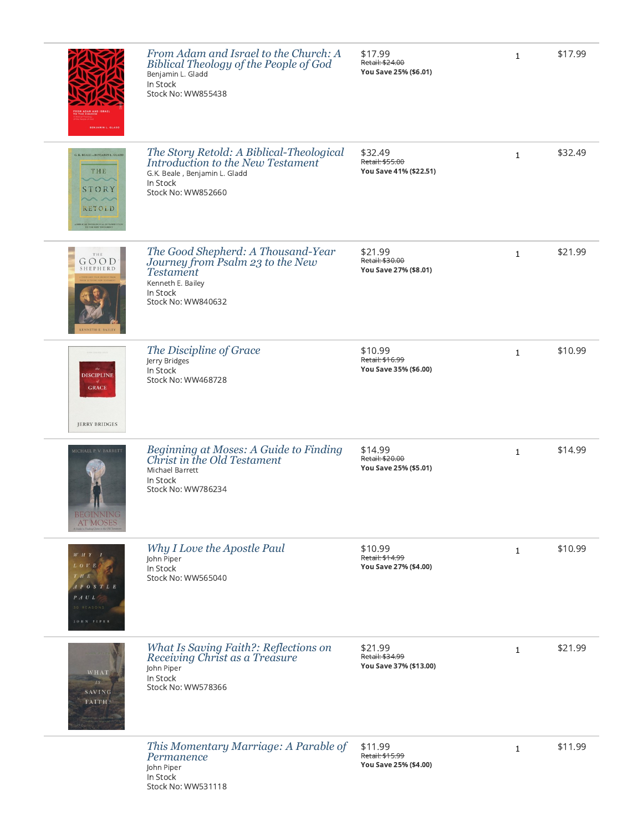|                                                                                                                                        | From Adam and Israel to the Church: A<br>Biblical Theology of the People of God<br>Benjamin L. Gladd<br>In Stock<br>Stock No: WW855438            | \$17.99<br>Retail: \$24.00<br>You Save 25% (\$6.01)  | $\mathbf{1}$ | \$17.99 |
|----------------------------------------------------------------------------------------------------------------------------------------|---------------------------------------------------------------------------------------------------------------------------------------------------|------------------------------------------------------|--------------|---------|
| G. K. BEALE  BENJAMIN L. GLADD<br>THE<br>STORY<br>$\sim$ $\sim$<br>RETOLD<br><b>ICAL THEOLOGICAL INTRODUCTION TO THE NEW TESTAMENT</b> | The Story Retold: A Biblical-Theological<br>Introduction to the New Testament<br>G.K. Beale, Benjamin L. Gladd<br>In Stock<br>Stock No: WW852660  | \$32.49<br>Retail: \$55.00<br>You Save 41% (\$22.51) | $\mathbf{1}$ | \$32.49 |
| THE<br>GOOD<br>SHEPHERD<br>KENNETH E. BAILEY                                                                                           | The Good Shepherd: A Thousand-Year<br>Journey from Psalm 23 to the New<br><b>Testament</b><br>Kenneth E. Bailey<br>In Stock<br>Stock No: WW840632 | \$21.99<br>Retail: \$30.00<br>You Save 27% (\$8.01)  | $\mathbf{1}$ | \$21.99 |
| $_{the}$<br><b>DISCIPLINE</b><br><b>GRACE</b><br><b>JERRY BRIDGES</b>                                                                  | The Discipline of Grace<br>Jerry Bridges<br>In Stock<br>Stock No: WW468728                                                                        | \$10.99<br>Retail: \$16.99<br>You Save 35% (\$6.00)  | $\mathbf{1}$ | \$10.99 |
| MICHAEL P. V. BARRETT<br>м<br><b>BEGINNING</b><br><b>AT MOSES</b>                                                                      | Beginning at Moses: A Guide to Finding<br>Christ in the Old Testament<br>Michael Barrett<br>In Stock<br>Stock No: WW786234                        | \$14.99<br>Retail: \$20.00<br>You Save 25% (\$5.01)  | $\mathbf{1}$ | \$14.99 |
| $W$ H $Y$<br>$L$ O $V$ $E$<br>$T$ $H$ $E$<br>APOSTLE<br>PAUL<br>JOHN PIPER                                                             | Why I Love the Apostle Paul<br>John Piper<br>In Stock<br>Stock No: WW565040                                                                       | \$10.99<br>Retail: \$14.99<br>You Save 27% (\$4.00)  | $\mathbf{1}$ | \$10.99 |
| <b>WHAT</b><br>IS<br>SAVING<br>FAITH?                                                                                                  | What Is Saving Faith?: Reflections on<br>Receiving Christ as a Treasure<br>John Piper<br>In Stock<br>Stock No: WW578366                           | \$21.99<br>Retail: \$34.99<br>You Save 37% (\$13.00) | $\mathbf{1}$ | \$21.99 |
|                                                                                                                                        | This Momentary Marriage: A Parable of<br>Permanence                                                                                               | \$11.99<br>Retail: \$15.99                           | 1            | \$11.99 |

You Save 25% (\$4.00)

John Piper In Stock

Stock No: WW531118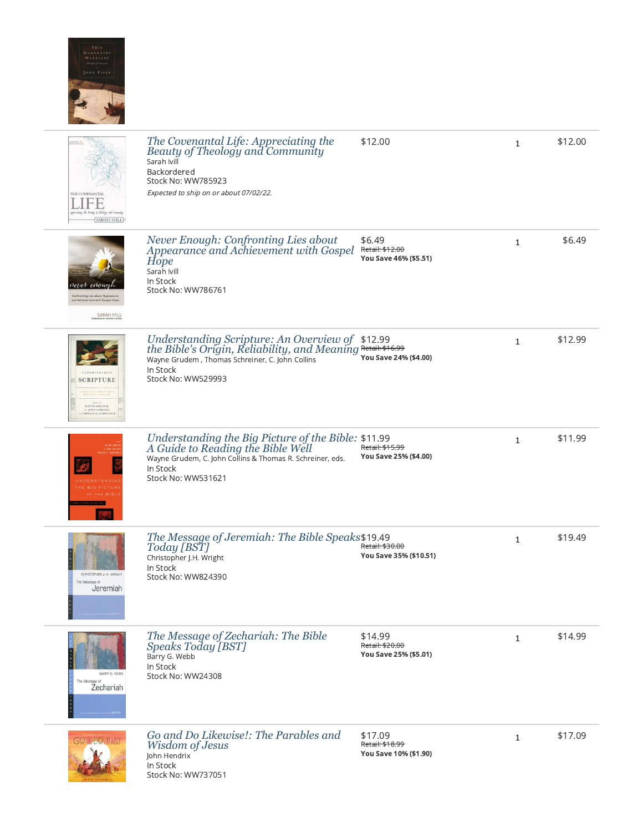

| <b>HE COVENANTAL</b><br><b>SARAH IVILL</b>                                                                     | The Covenantal Life: Appreciating the<br>Beauty of Theology and Community<br>Sarah Ivill<br>Backordered<br>Stock No: WW785923<br>Expected to ship on or about 07/02/22.                              | \$12.00                                             | 1            | \$12.00 |
|----------------------------------------------------------------------------------------------------------------|------------------------------------------------------------------------------------------------------------------------------------------------------------------------------------------------------|-----------------------------------------------------|--------------|---------|
| enoug<br>nent with Gospel Hop<br>SARAH IVILL                                                                   | Never Enough: Confronting Lies about<br>Appearance and Achievement with Gospel<br>Hope<br>Sarah Ivill<br>In Stock<br>Stock No: WW786761                                                              | \$6.49<br>Retail: \$12.00<br>You Save 46% (\$5.51)  | $\mathbf{1}$ | \$6.49  |
| <b>UNDERSTANDING</b><br><b>SCRIPTURE</b><br><b>WAYNE GRUDEM,<br/>C. JOHN COLLINS,<br/>HTHOMAS R. SCHREINER</b> | Understanding Scripture: An Overview of \$12.99<br>the Bible's Origin, Reliability, and Meaning Retail: \$16.99<br>Wayne Grudem, Thomas Schreiner, C. John Collins<br>In Stock<br>Stock No: WW529993 | You Save 24% (\$4.00)                               | $\mathbf{1}$ | \$12.99 |
|                                                                                                                | Understanding the Big Picture of the Bible: \$11.99<br>A Guide to Reading the Bible Well<br>Wayne Grudem, C. John Collins & Thomas R. Schreiner, eds.<br>In Stock<br>Stock No: WW531621              | Retail: \$15.99<br>You Save 25% (\$4.00)            | $\mathbf{1}$ | \$11.99 |
| CHRISTOPHER J. H. WRIGHT<br>The Message of<br>Jeremiah                                                         | The Message of Jeremiah: The Bible Speaks \$19.49<br>Today [BST]<br>Christopher J.H. Wright<br>In Stock<br>Stock No: WW824390                                                                        | Retail: \$30.00<br>You Save 35% (\$10.51)           | $\mathbf{1}$ | \$19.49 |
| BARRY G. WEBB<br>The Message of<br>Zechariah                                                                   | The Message of Zechariah: The Bible<br>Speaks Today [BST]<br>Barry G. Webb<br>In Stock<br>Stock No: WW24308                                                                                          | \$14.99<br>Retail: \$20.00<br>You Save 25% (\$5.01) | $\mathbf{1}$ | \$14.99 |
| <b>GO ANDO LIKEWISEL</b>                                                                                       | Go and Do Likewise!: The Parables and<br>Wisdom of Jesus<br>John Hendrix<br>In Stock                                                                                                                 | \$17.09<br>Retail: \$18.99<br>You Save 10% (\$1.90) | $\mathbf{1}$ | \$17.09 |

Stock No: WW737051